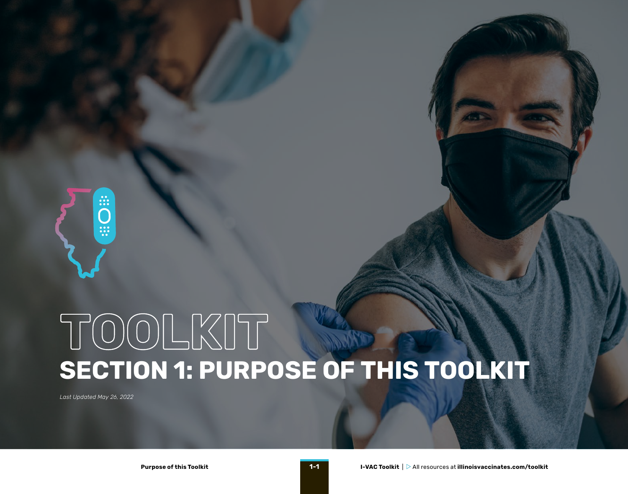

## **SECTION 1: PURPOSE OF THIS TOOLKIT TOOLKIT**

*Last Updated May 26, 2022*

**Purpose of this Toolkit 1-1**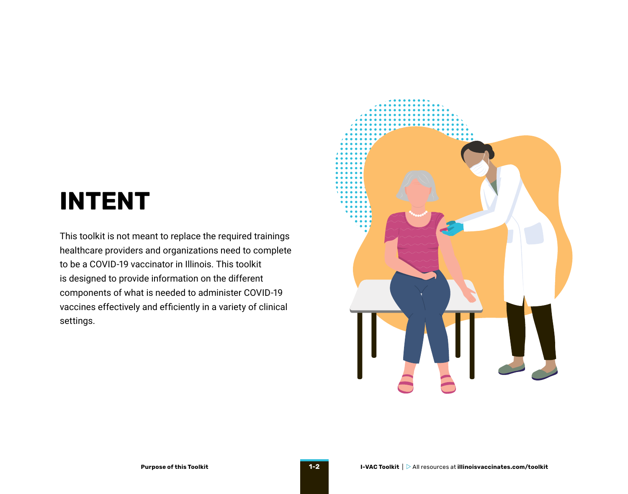## **INTENT**

This toolkit is not meant to replace the required trainings healthcare providers and organizations need to complete to be a COVID-19 vaccinator in Illinois. This toolkit is designed to provide information on the different components of what is needed to administer COVID-19 vaccines effectively and efficiently in a variety of clinical settings.